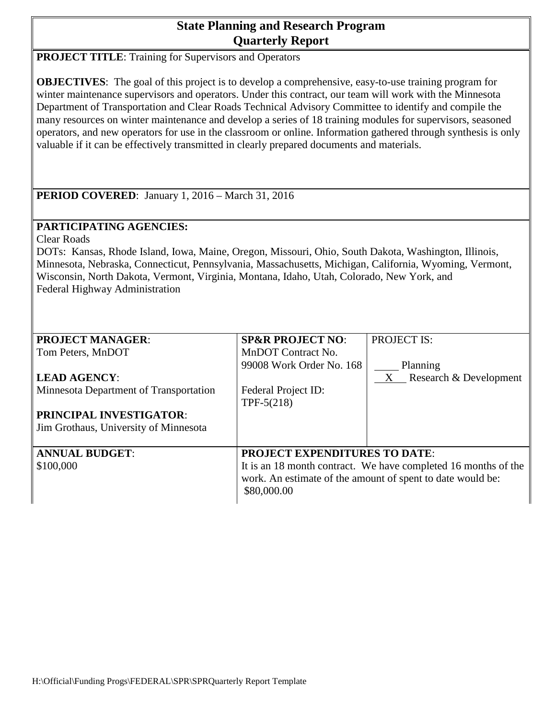# **State Planning and Research Program Quarterly Report**

**PROJECT TITLE:** Training for Supervisors and Operators

**OBJECTIVES**: The goal of this project is to develop a comprehensive, easy-to-use training program for winter maintenance supervisors and operators. Under this contract, our team will work with the Minnesota Department of Transportation and Clear Roads Technical Advisory Committee to identify and compile the many resources on winter maintenance and develop a series of 18 training modules for supervisors, seasoned operators, and new operators for use in the classroom or online. Information gathered through synthesis is only valuable if it can be effectively transmitted in clearly prepared documents and materials.

**PERIOD COVERED**: January 1, 2016 – March 31, 2016

## **PARTICIPATING AGENCIES:**

Clear Roads

DOTs: Kansas, Rhode Island, Iowa, Maine, Oregon, Missouri, Ohio, South Dakota, Washington, Illinois, Minnesota, Nebraska, Connecticut, Pennsylvania, Massachusetts, Michigan, California, Wyoming, Vermont, Wisconsin, North Dakota, Vermont, Virginia, Montana, Idaho, Utah, Colorado, New York, and Federal Highway Administration

| <b>PROJECT MANAGER:</b>                | <b>SP&amp;R PROJECT NO:</b>                                    | <b>PROJECT IS:</b>       |  |  |  |  |
|----------------------------------------|----------------------------------------------------------------|--------------------------|--|--|--|--|
| Tom Peters, MnDOT                      | MnDOT Contract No.                                             |                          |  |  |  |  |
|                                        | 99008 Work Order No. 168                                       | Planning                 |  |  |  |  |
| <b>LEAD AGENCY:</b>                    |                                                                | X Research & Development |  |  |  |  |
| Minnesota Department of Transportation | Federal Project ID:                                            |                          |  |  |  |  |
|                                        | TPF- $5(218)$                                                  |                          |  |  |  |  |
| <b>PRINCIPAL INVESTIGATOR:</b>         |                                                                |                          |  |  |  |  |
| Jim Grothaus, University of Minnesota  |                                                                |                          |  |  |  |  |
|                                        |                                                                |                          |  |  |  |  |
| <b>ANNUAL BUDGET:</b>                  | <b>PROJECT EXPENDITURES TO DATE:</b>                           |                          |  |  |  |  |
| \$100,000                              | It is an 18 month contract. We have completed 16 months of the |                          |  |  |  |  |
|                                        | work. An estimate of the amount of spent to date would be:     |                          |  |  |  |  |
|                                        | \$80,000.00                                                    |                          |  |  |  |  |
|                                        |                                                                |                          |  |  |  |  |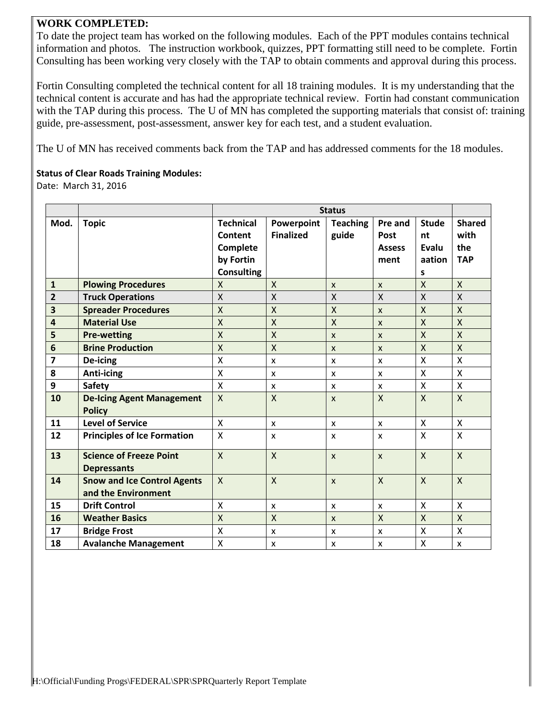### **WORK COMPLETED:**

To date the project team has worked on the following modules. Each of the PPT modules contains technical information and photos. The instruction workbook, quizzes, PPT formatting still need to be complete. Fortin Consulting has been working very closely with the TAP to obtain comments and approval during this process.

Fortin Consulting completed the technical content for all 18 training modules. It is my understanding that the technical content is accurate and has had the appropriate technical review. Fortin had constant communication with the TAP during this process. The U of MN has completed the supporting materials that consist of: training guide, pre-assessment, post-assessment, answer key for each test, and a student evaluation.

The U of MN has received comments back from the TAP and has addressed comments for the 18 modules.

#### **Status of Clear Roads Training Modules:**

Date: March 31, 2016

|                         |                                                           | <b>Status</b>                                        |                                |                          |                                          |                                       |                                            |
|-------------------------|-----------------------------------------------------------|------------------------------------------------------|--------------------------------|--------------------------|------------------------------------------|---------------------------------------|--------------------------------------------|
| Mod.                    | <b>Topic</b>                                              | <b>Technical</b><br>Content<br>Complete<br>by Fortin | Powerpoint<br><b>Finalized</b> | <b>Teaching</b><br>guide | Pre and<br>Post<br><b>Assess</b><br>ment | <b>Stude</b><br>nt<br>Evalu<br>aation | <b>Shared</b><br>with<br>the<br><b>TAP</b> |
|                         |                                                           | <b>Consulting</b>                                    |                                |                          |                                          | s                                     |                                            |
| $\mathbf{1}$            | <b>Plowing Procedures</b>                                 | X                                                    | X                              | $\mathsf{x}$             | $\mathsf{x}$                             | X                                     | $\mathsf{X}$                               |
| $\overline{2}$          | <b>Truck Operations</b>                                   | $\mathsf{X}$                                         | X                              | $\sf X$                  | $\mathsf{X}$                             | X                                     | $\mathsf{X}$                               |
| $\overline{\mathbf{3}}$ | <b>Spreader Procedures</b>                                | $\mathsf{X}$                                         | X                              | $\mathsf{X}$             | $\mathsf{x}$                             | X                                     | $\mathsf{X}$                               |
| $\overline{\mathbf{4}}$ | <b>Material Use</b>                                       | $\mathsf{X}$                                         | X                              | $\sf X$                  | $\mathsf{x}$                             | X                                     | X                                          |
| 5                       | <b>Pre-wetting</b>                                        | $\mathsf{X}$                                         | $\sf X$                        | $\mathsf{x}$             | $\mathsf{x}$                             | X                                     | $\mathsf{X}$                               |
| 6                       | <b>Brine Production</b>                                   | $\mathsf{X}$                                         | $\mathsf{X}$                   | $\mathsf{x}$             | $\mathsf{x}$                             | X                                     | $\mathsf{X}$                               |
| $\overline{\mathbf{z}}$ | De-icing                                                  | X                                                    | X                              | X                        | $\boldsymbol{\mathsf{x}}$                | X                                     | X                                          |
| 8                       | <b>Anti-icing</b>                                         | X                                                    | X                              | X                        | $\boldsymbol{\mathsf{x}}$                | X                                     | X                                          |
| 9                       | <b>Safety</b>                                             | $\mathsf{X}$                                         | X                              | X                        | X                                        | X                                     | X                                          |
| 10                      | <b>De-Icing Agent Management</b><br><b>Policy</b>         | $\mathsf{X}$                                         | X                              | $\mathsf{x}$             | $\mathsf{X}$                             | X                                     | $\mathsf{X}$                               |
| 11                      | <b>Level of Service</b>                                   | $\mathsf{X}$                                         | X                              | X                        | $\mathsf{x}$                             | X                                     | X                                          |
| 12                      | <b>Principles of Ice Formation</b>                        | $\pmb{\times}$                                       | X                              | X                        | X                                        | X                                     | Χ                                          |
| 13                      | <b>Science of Freeze Point</b><br><b>Depressants</b>      | $\mathsf{X}$                                         | X                              | $\mathsf{x}$             | $\mathsf{x}$                             | X                                     | $\mathsf{X}$                               |
| 14                      | <b>Snow and Ice Control Agents</b><br>and the Environment | $\mathsf{X}$                                         | X                              | $\mathsf{x}$             | $\mathsf{x}$                             | $\sf X$                               | X                                          |
| 15                      | <b>Drift Control</b>                                      | X                                                    | X                              | X                        | X                                        | X                                     | X                                          |
| 16                      | <b>Weather Basics</b>                                     | $\mathsf{X}$                                         | $\mathsf{X}$                   | X                        | $\mathsf{X}$                             | $\mathsf{X}$                          | $\mathsf{X}$                               |
| 17                      | <b>Bridge Frost</b>                                       | X                                                    | X                              | X                        | X                                        | X                                     | X                                          |
| 18                      | <b>Avalanche Management</b>                               | X                                                    | x                              | X                        | X                                        | Χ                                     | x                                          |